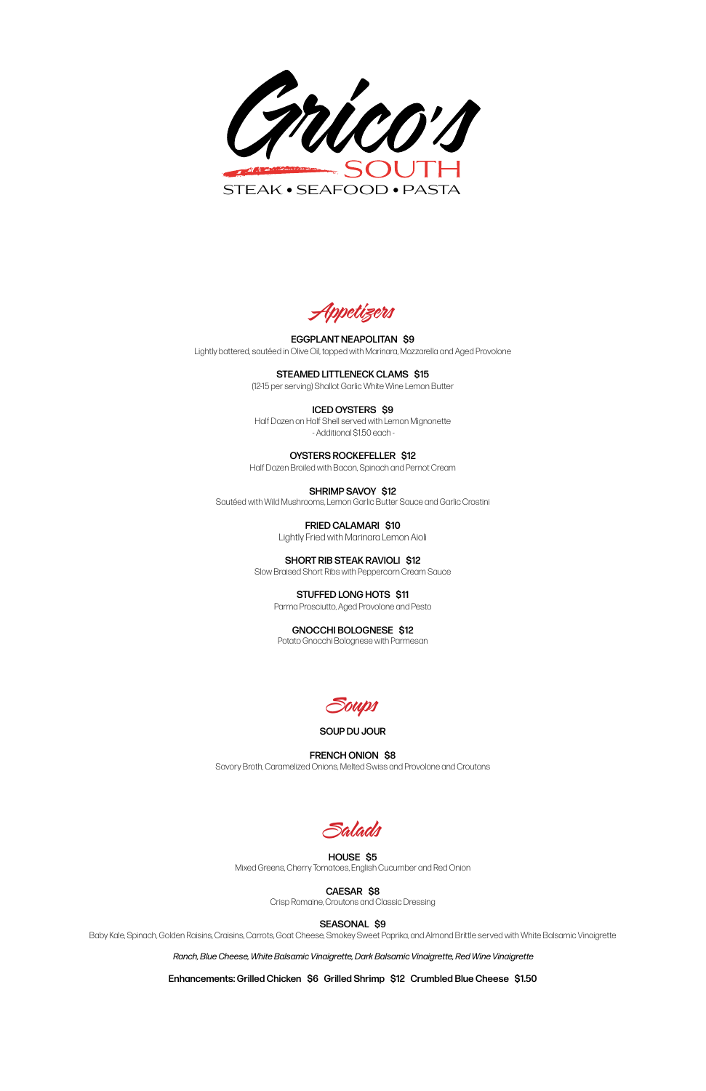Appetizers

EGGPLANT NEAPOLITAN \$9 Lightly battered, sautéed in Olive Oil, topped with Marinara, Mozzarella and Aged Provolone

> STEAMED LITTLENECK CLAMS \$15 (12-15 per serving) Shallot Garlic White Wine Lemon Butter

ICED OYSTERS \$9 Half Dozen on Half Shell served with Lemon Mignonette - Additional \$1.50 each -

## OYSTERS ROCKEFELLER \$12

Half Dozen Broiled with Bacon, Spinach and Pernot Cream

SHRIMP SAVOY \$12 Sautéed with Wild Mushrooms, Lemon Garlic Butter Sauce and Garlic Crostini

> FRIED CALAMARI \$10 Lightly Fried with Marinara Lemon Aioli

SHORT RIB STEAK RAVIOLI \$12 Slow Braised Short Ribs with Peppercorn Cream Sauce

> STUFFED LONG HOTS \$11 Parma Prosciutto, Aged Provolone and Pesto

GNOCCHI BOLOGNESE \$12

Potato Gnocchi Bolognese with Parmesan



SOUP DU JOUR

FRENCH ONION \$8 Savory Broth, Caramelized Onions, Melted Swiss and Provolone and Croutons



### HOUSE \$5 Mixed Greens, Cherry Tomatoes, English Cucumber and Red Onion

## CAESAR \$8

Crisp Romaine, Croutons and Classic Dressing

# SEASONAL \$9

Baby Kale, Spinach, Golden Raisins, Craisins, Carrots, Goat Cheese, Smokey Sweet Paprika, and Almond Brittle served with White Balsamic Vinaigrette

*Ranch, Blue Cheese, White Balsamic Vinaigrette, Dark Balsamic Vinaigrette, Red Wine Vinaigrette*

Enhancements: Grilled Chicken \$6 Grilled Shrimp \$12 Crumbled Blue Cheese \$1.50